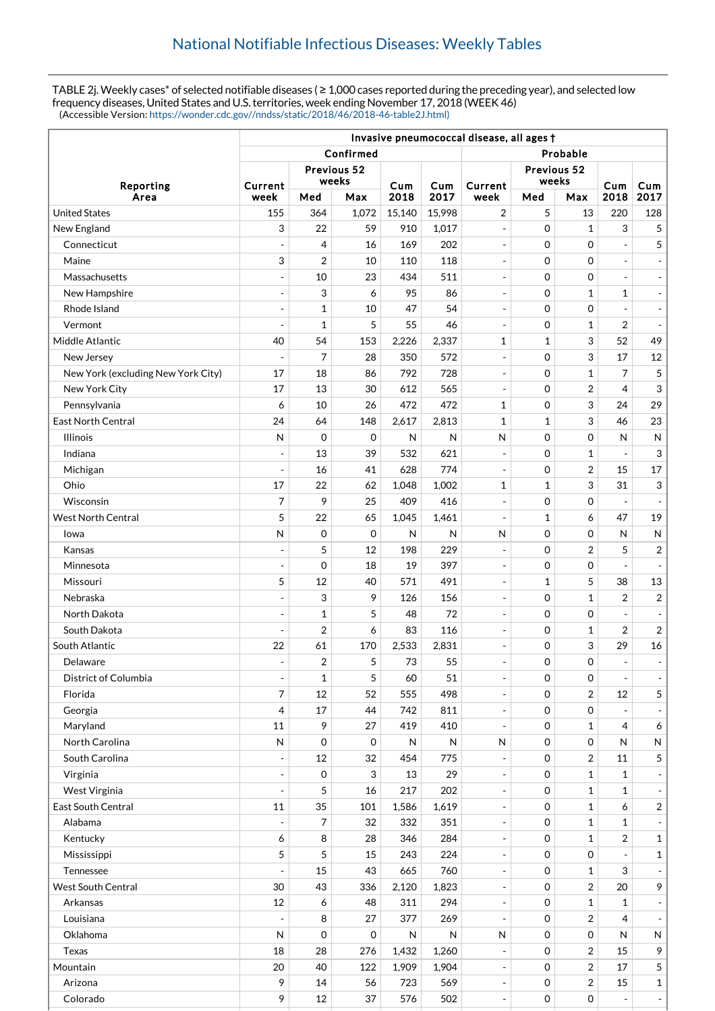TABLE 2j. Weekly cases\* of selected notifiable diseases (≥ 1,000 cases reported during the preceding year), and selected low frequency diseases, United States and U.S. territories, week ending November 17, 2018 (WEEK 46) (Accessible Version: [https://wonder.cdc.gov//nndss/static/2018/46/2018-46-table2J.html\)](https://wonder.cdc.gov//nndss/static/2018/46/2018-46-table2J.html)

|                                    | Invasive pneumococcal disease, all ages t |                      |             |             |             |                          |                      |                |                          |                          |
|------------------------------------|-------------------------------------------|----------------------|-------------|-------------|-------------|--------------------------|----------------------|----------------|--------------------------|--------------------------|
|                                    | Confirmed<br>Probable                     |                      |             |             |             |                          |                      |                |                          |                          |
| Reporting<br>Area                  |                                           | Previous 52<br>weeks |             |             |             |                          | Previous 52<br>weeks |                |                          |                          |
|                                    | Current<br>week                           | Med                  | Max         | Cum<br>2018 | Cum<br>2017 | Current<br>week          | Med                  | Max            | Cum<br>2018              | Cum<br>2017              |
| <b>United States</b>               | 155                                       | 364                  | 1,072       | 15,140      | 15,998      | 2                        | 5                    | 13             | 220                      | 128                      |
| New England                        | 3                                         | 22                   | 59          | 910         | 1,017       | $\bar{\phantom{a}}$      | 0                    | $\mathbf{1}$   | 3                        | 5                        |
| Connecticut                        | $\overline{a}$                            | $\overline{4}$       | 16          | 169         | 202         | $\overline{\phantom{a}}$ | $\mathbf 0$          | $\mathbf 0$    |                          | 5                        |
| Maine                              | 3                                         | $\overline{2}$       | 10          | 110         | 118         | $\overline{\phantom{a}}$ | 0                    | 0              |                          | $\overline{\phantom{a}}$ |
| Massachusetts                      | $\blacksquare$                            | 10                   | 23          | 434         | 511         | $\overline{\phantom{a}}$ | 0                    | 0              | $\overline{\phantom{a}}$ | $\overline{\phantom{a}}$ |
| New Hampshire                      | $\overline{\phantom{a}}$                  | 3                    | 6           | 95          | 86          |                          | 0                    | $\mathbf 1$    | 1                        | $\overline{\phantom{a}}$ |
| Rhode Island                       | $\blacksquare$                            | 1                    | 10          | 47          | 54          | $\overline{\phantom{a}}$ | 0                    | 0              |                          | $\overline{\phantom{a}}$ |
| Vermont                            | Ξ                                         | 1                    | 5           | 55          | 46          | $\overline{a}$           | $\mathbf 0$          | $\mathbf{1}$   | $\overline{2}$           | $\overline{\phantom{a}}$ |
| Middle Atlantic                    | 40                                        | 54                   | 153         | 2,226       | 2,337       | 1                        | $\mathbf{1}$         | 3              | 52                       | 49                       |
| New Jersey                         | $\overline{a}$                            | 7                    | 28          | 350         | 572         | $\overline{a}$           | $\mathbf 0$          | 3              | 17                       | 12                       |
| New York (excluding New York City) | 17                                        | 18                   | 86          | 792         | 728         | $\overline{\phantom{a}}$ | $\mathbf 0$          | $\mathbf{1}$   | 7                        | 5                        |
| New York City                      | 17                                        | 13                   | 30          | 612         | 565         | $\overline{a}$           | 0                    | $\overline{2}$ | $\overline{4}$           | 3                        |
| Pennsylvania                       | 6                                         | 10                   | 26          | 472         | 472         | 1                        | 0                    | 3              | 24                       | 29                       |
| <b>East North Central</b>          | 24                                        | 64                   | 148         | 2,617       | 2,813       | 1                        | 1                    | 3              | 46                       | 23                       |
| <b>Illinois</b>                    | $\mathsf{N}$                              | $\mathbf 0$          | $\mathbf 0$ | N           | N           | N                        | 0                    | 0              | N                        | ${\sf N}$                |
| Indiana                            | $\overline{a}$                            | 13                   | 39          | 532         | 621         | $\overline{\phantom{a}}$ | 0                    | $\mathbf{1}$   |                          | 3                        |
| Michigan                           | ÷,                                        | 16                   | 41          | 628         | 774         |                          | 0                    | $\overline{2}$ | 15                       | 17                       |
| Ohio                               | 17                                        | 22                   | 62          | 1,048       | 1,002       | 1                        | 1                    | 3              | 31                       | 3                        |
| Wisconsin                          | 7                                         | 9                    | 25          | 409         | 416         | $\overline{\phantom{a}}$ | $\mathbf 0$          | $\Omega$       | $\overline{\phantom{a}}$ | $\blacksquare$           |
| <b>West North Central</b>          | 5                                         | 22                   | 65          | 1,045       | 1,461       | $\overline{\phantom{a}}$ | $\mathbf{1}$         | 6              | 47                       | 19                       |
| lowa                               | $\mathsf{N}$                              | $\mathbf 0$          | $\mathbf 0$ | N           | N           | $\mathsf{N}$             | 0                    | 0              | N                        | $\mathsf{N}$             |
| Kansas                             | $\overline{\phantom{a}}$                  | 5                    | 12          | 198         | 229         | $\overline{\phantom{a}}$ | 0                    | $\overline{2}$ | 5                        | $\overline{c}$           |
| Minnesota                          | $\blacksquare$                            | $\mathbf 0$          | 18          | 19          | 397         | $\overline{a}$           | 0                    | $\Omega$       |                          | $\blacksquare$           |
| Missouri                           | 5                                         | 12                   | 40          | 571         | 491         | $\overline{\phantom{a}}$ | $\mathbf{1}$         | 5              | 38                       | 13                       |
| Nebraska                           | $\overline{\phantom{a}}$                  | 3                    | 9           | 126         | 156         | $\overline{\phantom{a}}$ | 0                    | $\mathbf{1}$   | $\overline{2}$           | $\overline{2}$           |
| North Dakota                       | $\overline{a}$                            | 1                    | 5           | 48          | 72          | $\overline{\phantom{a}}$ | 0                    | 0              |                          | $\overline{\phantom{a}}$ |
| South Dakota                       | $\overline{\phantom{a}}$                  | $\overline{2}$       | 6           | 83          | 116         | $\overline{\phantom{a}}$ | 0                    | $\mathbf{1}$   | $\overline{2}$           | $\overline{2}$           |
| South Atlantic                     | 22                                        | 61                   | 170         | 2,533       | 2,831       | $\overline{a}$           | 0                    | 3              | 29                       | $16\,$                   |
| Delaware                           | $\overline{\phantom{a}}$                  | $\overline{2}$       | 5           | 73          | 55          | $\overline{a}$           | 0                    | 0              | $\overline{\phantom{a}}$ | $\overline{\phantom{a}}$ |
| District of Columbia               | $\blacksquare$                            | $\mathbf{1}$         | 5           | 60          | 51          | $\overline{a}$           | 0                    | 0              | $\overline{\phantom{a}}$ | $\overline{\phantom{a}}$ |
| Florida                            | 7                                         | 12                   | 52          | 555         | 498         | $\overline{\phantom{a}}$ | $\mathbf 0$          | $\overline{2}$ | 12                       | 5                        |
| Georgia                            | 4                                         | 17                   | 44          | 742         | 811         | $\overline{a}$           | 0                    | 0              |                          | $\overline{\phantom{a}}$ |
| Maryland                           | 11                                        | 9                    | 27          | 419         | 410         | $\overline{\phantom{a}}$ | 0                    | $\mathbf{1}$   | 4                        | 6                        |
| North Carolina                     | ${\sf N}$                                 | $\mathbf 0$          | $\mathbf 0$ | N           | ${\sf N}$   | $\mathsf{N}$             | $\mathbf 0$          | 0              | N                        | N                        |
| South Carolina                     | $\overline{\phantom{m}}$                  | 12                   | 32          | 454         | 775         | $\overline{\phantom{a}}$ | $\mathbf 0$          | 2              | 11                       | 5                        |
| Virginia                           | $\blacksquare$                            | 0                    | 3           | 13          | 29          | $\overline{\phantom{a}}$ | 0                    | 1              | $\mathbf{1}$             | $\overline{\phantom{a}}$ |
| West Virginia                      | $\overline{a}$                            | 5                    | 16          | 217         | 202         | $\overline{a}$           | 0                    | 1              | 1                        | $\overline{\phantom{a}}$ |
| East South Central                 | 11                                        | 35                   | 101         | 1,586       | 1,619       | $\overline{a}$           | $\boldsymbol{0}$     | $\mathbf{1}$   | 6                        | $\overline{c}$           |
| Alabama                            |                                           | 7                    | 32          | 332         | 351         | $\overline{a}$           | 0                    | 1              | $\mathbf{1}$             | $\overline{\phantom{a}}$ |
| Kentucky                           | 6                                         | 8                    | 28          | 346         | 284         | $\overline{a}$           | $\mathbf 0$          | $\mathbf 1$    | $\overline{2}$           | $\mathbf 1$              |
| Mississippi                        | 5                                         | 5                    | 15          | 243         | 224         |                          | 0                    | 0              |                          | $\mathbf{1}$             |
| Tennessee                          |                                           | 15                   | 43          | 665         | 760         | $\overline{\phantom{a}}$ | $\mathbf 0$          | 1              | 3                        | $\frac{1}{2}$            |
| <b>West South Central</b>          | 30                                        | 43                   | 336         | 2,120       | 1,823       | $\overline{a}$           | $\mathbf 0$          | $\overline{2}$ | 20                       | 9                        |
| Arkansas                           | 12                                        | 6                    | 48          | 311         | 294         | $\blacksquare$           | $\mathbf 0$          | 1              | $\mathbf{1}$             | $\frac{1}{2}$            |
| Louisiana                          | $\overline{a}$                            | 8                    | 27          | 377         | 269         | $\overline{\phantom{a}}$ | 0                    | 2              | 4                        | $\overline{\phantom{a}}$ |
| Oklahoma                           | N                                         | $\mathbf 0$          | $\mathbf 0$ | N           | N           | N                        | 0                    | $\mathbf 0$    | $\mathsf{N}$             | N                        |
| Texas                              | 18                                        | 28                   | 276         | 1,432       | 1,260       | $\overline{a}$           | 0                    | $\overline{2}$ | 15                       | 9                        |
| Mountain                           | 20                                        | 40                   | 122         | 1,909       | 1,904       | $\overline{\phantom{a}}$ | 0                    | 2              | 17                       | 5                        |
| Arizona                            | 9                                         | 14                   | 56          | 723         | 569         | $\overline{\phantom{a}}$ | 0                    | 2              | 15                       | $\mathbf{1}$             |
| Colorado                           | 9                                         | 12                   | 37          | 576         | 502         | $\blacksquare$           | $\mathbf 0$          | 0              | $\overline{\phantom{a}}$ | $\pm$                    |